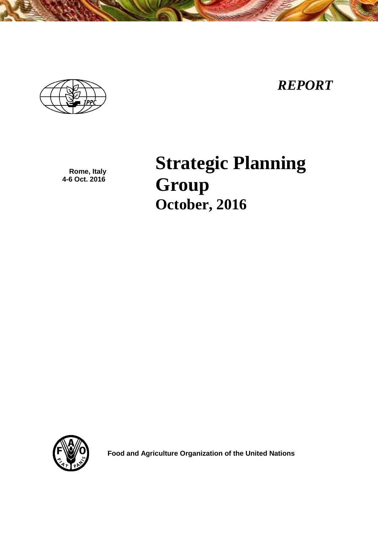



**Rome, Italy 4-6 Oct. 2016**

**Strategic Planning Group October, 2016**



 **Food and Agriculture Organization of the United Nations**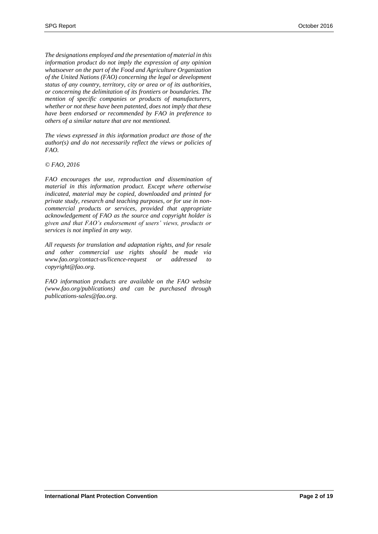*The designations employed and the presentation of material in this information product do not imply the expression of any opinion whatsoever on the part of the Food and Agriculture Organization of the United Nations (FAO) concerning the legal or development status of any country, territory, city or area or of its authorities, or concerning the delimitation of its frontiers or boundaries. The mention of specific companies or products of manufacturers, whether or not these have been patented, does not imply that these have been endorsed or recommended by FAO in preference to others of a similar nature that are not mentioned.*

*The views expressed in this information product are those of the author(s) and do not necessarily reflect the views or policies of FAO.*

#### *© FAO, 2016*

*FAO encourages the use, reproduction and dissemination of material in this information product. Except where otherwise indicated, material may be copied, downloaded and printed for private study, research and teaching purposes, or for use in noncommercial products or services, provided that appropriate acknowledgement of FAO as the source and copyright holder is given and that FAO's endorsement of users' views, products or services is not implied in any way.*

*All requests for translation and adaptation rights, and for resale and other commercial use rights should be made via www.fao.org/contact-us/licence-request or addressed to copyright@fao.org.*

*FAO information products are available on the FAO website (www.fao.org/publications) and can be purchased through publications-sales@fao.org.*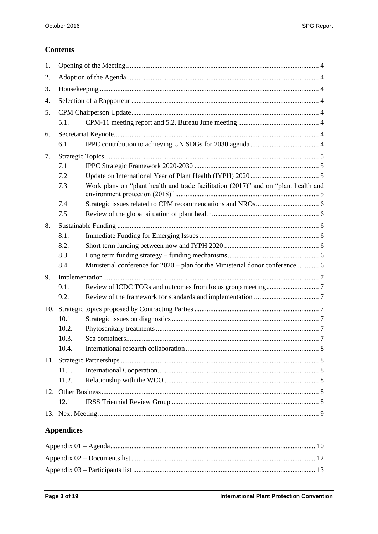# **Contents**

| 1.  |                   |                                                                                     |  |
|-----|-------------------|-------------------------------------------------------------------------------------|--|
| 2.  |                   |                                                                                     |  |
| 3.  |                   |                                                                                     |  |
| 4.  |                   |                                                                                     |  |
| 5.  |                   |                                                                                     |  |
|     | 5.1.              |                                                                                     |  |
| 6.  |                   |                                                                                     |  |
|     | 6.1.              |                                                                                     |  |
| 7.  |                   |                                                                                     |  |
|     | 7.1               |                                                                                     |  |
|     | 7.2               |                                                                                     |  |
|     | 7.3               | Work plans on "plant health and trade facilitation (2017)" and on "plant health and |  |
|     | 7.4               |                                                                                     |  |
|     | 7.5               |                                                                                     |  |
| 8.  |                   |                                                                                     |  |
|     | 8.1.              |                                                                                     |  |
|     | 8.2.              |                                                                                     |  |
|     | 8.3.              |                                                                                     |  |
|     | 8.4               | Ministerial conference for 2020 - plan for the Ministerial donor conference  6      |  |
| 9.  |                   |                                                                                     |  |
|     | 9.1.              |                                                                                     |  |
|     | 9.2.              |                                                                                     |  |
| 10. |                   |                                                                                     |  |
|     | 10.1              |                                                                                     |  |
|     | 10.2.             |                                                                                     |  |
|     | 10.3.             |                                                                                     |  |
|     | 10.4.             |                                                                                     |  |
|     |                   |                                                                                     |  |
|     | 11.1.             |                                                                                     |  |
|     | 11.2.             |                                                                                     |  |
|     |                   |                                                                                     |  |
|     | 12.1              |                                                                                     |  |
|     |                   |                                                                                     |  |
|     | <b>Appendices</b> |                                                                                     |  |
|     |                   |                                                                                     |  |
|     |                   |                                                                                     |  |

| <u>т хрронхил от представните неполнените с поставки на полнените на полнените с полнените полнените то п</u> |  |
|---------------------------------------------------------------------------------------------------------------|--|
|                                                                                                               |  |
|                                                                                                               |  |
|                                                                                                               |  |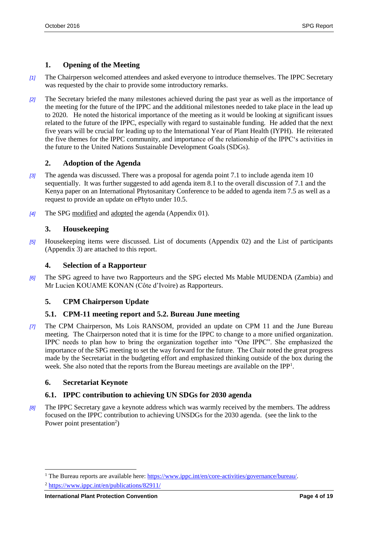# <span id="page-3-0"></span>**1. Opening of the Meeting**

- *[1]* The Chairperson welcomed attendees and asked everyone to introduce themselves. The IPPC Secretary was requested by the chair to provide some introductory remarks.
- *[2]* The Secretary briefed the many milestones achieved during the past year as well as the importance of the meeting for the future of the IPPC and the additional milestones needed to take place in the lead up to 2020. He noted the historical importance of the meeting as it would be looking at significant issues related to the future of the IPPC, especially with regard to sustainable funding. He added that the next five years will be crucial for leading up to the International Year of Plant Health (IYPH). He reiterated the five themes for the IPPC community, and importance of the relationship of the IPPC's activities in the future to the United Nations Sustainable Development Goals (SDGs).

# <span id="page-3-1"></span>**2. Adoption of the Agenda**

- *[3]* The agenda was discussed. There was a proposal for agenda point 7.1 to include agenda item 10 sequentially. It was further suggested to add agenda item 8.1 to the overall discussion of 7.1 and the Kenya paper on an International Phytosanitary Conference to be added to agenda item 7.5 as well as a request to provide an update on ePhyto under 10.5.
- *[4]* The SPG modified and adopted the agenda (Appendix 01).

# <span id="page-3-2"></span>**3. Housekeeping**

*[5]* Housekeeping items were discussed. List of documents (Appendix 02) and the List of participants (Appendix 3) are attached to this report.

# <span id="page-3-3"></span>**4. Selection of a Rapporteur**

*[6]* The SPG agreed to have two Rapporteurs and the SPG elected Ms Mable MUDENDA (Zambia) and Mr Lucien KOUAME KONAN (Côte d'Ivoire) as Rapporteurs.

# <span id="page-3-4"></span>**5. CPM Chairperson Update**

# <span id="page-3-5"></span>**5.1. CPM-11 meeting report and 5.2. Bureau June meeting**

*[7]* The CPM Chairperson, Ms Lois RANSOM, provided an update on CPM 11 and the June Bureau meeting. The Chairperson noted that it is time for the IPPC to change to a more unified organization. IPPC needs to plan how to bring the organization together into "One IPPC". She emphasized the importance of the SPG meeting to set the way forward for the future. The Chair noted the great progress made by the Secretariat in the budgeting effort and emphasized thinking outside of the box during the week. She also noted that the reports from the Bureau meetings are available on the IPP<sup>1</sup>.

# <span id="page-3-6"></span>**6. Secretariat Keynote**

l

# <span id="page-3-7"></span>**6.1. IPPC contribution to achieving UN SDGs for 2030 agenda**

*[8]* The IPPC Secretary gave a keynote address which was warmly received by the members. The address focused on the IPPC contribution to achieving UNSDGs for the 2030 agenda. (see the link to the Power point presentation<sup>2</sup>)

<sup>&</sup>lt;sup>1</sup> The Bureau reports are available here: [https://www.ippc.int/en/core-activities/governance/bureau/.](https://www.ippc.int/en/core-activities/governance/bureau/)

<sup>2</sup> <https://www.ippc.int/en/publications/82911/>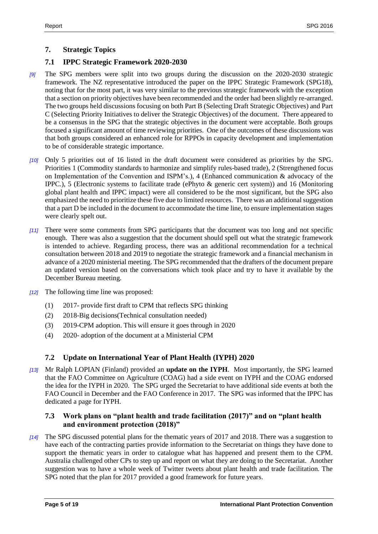# <span id="page-4-0"></span>**7. Strategic Topics**

### <span id="page-4-1"></span>**7.1 IPPC Strategic Framework 2020-2030**

- *[9]* The SPG members were split into two groups during the discussion on the 2020-2030 strategic framework. The NZ representative introduced the paper on the IPPC Strategic Framework (SPG18), noting that for the most part, it was very similar to the previous strategic framework with the exception that a section on priority objectives have been recommended and the order had been slightly re-arranged. The two groups held discussions focusing on both Part B (Selecting Draft Strategic Objectives) and Part C (Selecting Priority Initiatives to deliver the Strategic Objectives) of the document. There appeared to be a consensus in the SPG that the strategic objectives in the document were acceptable. Both groups focused a significant amount of time reviewing priorities. One of the outcomes of these discussions was that both groups considered an enhanced role for RPPOs in capacity development and implementation to be of considerable strategic importance.
- *[10]* Only 5 priorities out of 16 listed in the draft document were considered as priorities by the SPG. Priorities 1 (Commodity standards to harmonize and simplify rules-based trade), 2 (Strengthened focus on Implementation of the Convention and ISPM's.), 4 (Enhanced communication  $\&$  advocacy of the IPPC.), 5 (Electronic systems to facilitate trade (ePhyto & generic cert system)) and 16 (Monitoring global plant health and IPPC impact) were all considered to be the most significant, but the SPG also emphasized the need to prioritize these five due to limited resources. There was an additional suggestion that a part D be included in the document to accommodate the time line, to ensure implementation stages were clearly spelt out.
- *[11]* There were some comments from SPG participants that the document was too long and not specific enough. There was also a suggestion that the document should spell out what the strategic framework is intended to achieve. Regarding process, there was an additional recommendation for a technical consultation between 2018 and 2019 to negotiate the strategic framework and a financial mechanism in advance of a 2020 ministerial meeting. The SPG recommended that the drafters of the document prepare an updated version based on the conversations which took place and try to have it available by the December Bureau meeting.
- *[12]* The following time line was proposed:
	- (1) 2017- provide first draft to CPM that reflects SPG thinking
	- (2) 2018-Big decisions(Technical consultation needed)
	- (3) 2019-CPM adoption. This will ensure it goes through in 2020
	- (4) 2020- adoption of the document at a Ministerial CPM

#### <span id="page-4-2"></span>**7.2 Update on International Year of Plant Health (IYPH) 2020**

*[13]* Mr Ralph LOPIAN (Finland) provided an **update on the IYPH**. Most importantly, the SPG learned that the FAO Committee on Agriculture (COAG) had a side event on IYPH and the COAG endorsed the idea for the IYPH in 2020. The SPG urged the Secretariat to have additional side events at both the FAO Council in December and the FAO Conference in 2017. The SPG was informed that the IPPC has dedicated a page for IYPH.

#### <span id="page-4-3"></span>**7.3 Work plans on "plant health and trade facilitation (2017)" and on "plant health and environment protection (2018)"**

*[14]* The SPG discussed potential plans for the thematic years of 2017 and 2018. There was a suggestion to have each of the contracting parties provide information to the Secretariat on things they have done to support the thematic years in order to catalogue what has happened and present them to the CPM. Australia challenged other CPs to step up and report on what they are doing to the Secretariat. Another suggestion was to have a whole week of Twitter tweets about plant health and trade facilitation. The SPG noted that the plan for 2017 provided a good framework for future years.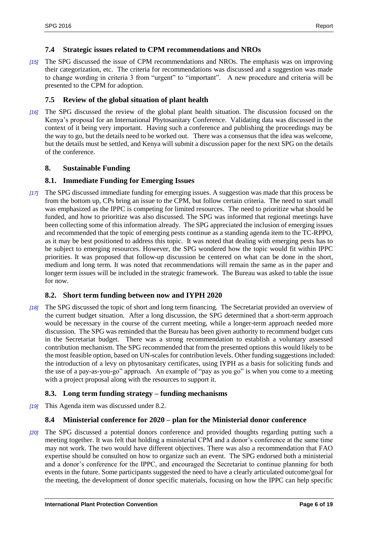#### <span id="page-5-0"></span>**7.4 Strategic issues related to CPM recommendations and NROs**

*[15]* The SPG discussed the issue of CPM recommendations and NROs. The emphasis was on improving their categorization, etc. The criteria for recommendations was discussed and a suggestion was made to change wording in criteria 3 from "urgent" to "important". A new procedure and criteria will be presented to the CPM for adoption.

### <span id="page-5-1"></span>**7.5 Review of the global situation of plant health**

*[16]* The SPG discussed the review of the global plant health situation. The discussion focused on the Kenya's proposal for an International Phytosanitary Conference. Validating data was discussed in the context of it being very important. Having such a conference and publishing the proceedings may be the way to go, but the details need to be worked out. There was a consensus that the idea was welcome, but the details must be settled, and Kenya will submit a discussion paper for the next SPG on the details of the conference.

### <span id="page-5-2"></span>**8. Sustainable Funding**

### <span id="page-5-3"></span>**8.1. Immediate Funding for Emerging Issues**

*[17]* The SPG discussed immediate funding for emerging issues. A suggestion was made that this process be from the bottom up, CPs bring an issue to the CPM, but follow certain criteria. The need to start small was emphasized as the IPPC is competing for limited resources. The need to prioritize what should be funded, and how to prioritize was also discussed. The SPG was informed that regional meetings have been collecting some of this information already. The SPG appreciated the inclusion of emerging issues and recommended that the topic of emerging pests continue as a standing agenda item to the TC-RPPO, as it may be best positioned to address this topic. It was noted that dealing with emerging pests has to be subject to emerging resources. However, the SPG wondered how the topic would fit within IPPC priorities. It was proposed that follow-up discussion be centered on what can be done in the short, medium and long term. It was noted that recommendations will remain the same as in the paper and longer term issues will be included in the strategic framework. The Bureau was asked to table the issue for now.

#### <span id="page-5-4"></span>**8.2. Short term funding between now and IYPH 2020**

*[18]* The SPG discussed the topic of short and long term financing. The Secretariat provided an overview of the current budget situation. After a long discussion, the SPG determined that a short-term approach would be necessary in the course of the current meeting, while a longer-term approach needed more discussion. The SPG was reminded that the Bureau has been given authority to recommend budget cuts in the Secretariat budget. There was a strong recommendation to establish a voluntary assessed contribution mechanism. The SPG recommended that from the presented options this would likely to be the most feasible option, based on UN-scales for contribution levels. Other funding suggestions included: the introduction of a levy on phytosanitary certificates, using IYPH as a basis for soliciting funds and the use of a pay-as-you-go" approach. An example of "pay as you go" is when you come to a meeting with a project proposal along with the resources to support it.

#### <span id="page-5-5"></span>**8.3. Long term funding strategy – funding mechanisms**

*[19]* This Agenda item was discussed under 8.2.

#### <span id="page-5-6"></span>**8.4 Ministerial conference for 2020 – plan for the Ministerial donor conference**

*[20]* The SPG discussed a potential donors conference and provided thoughts regarding putting such a meeting together. It was felt that holding a ministerial CPM and a donor's conference at the same time may not work. The two would have different objectives. There was also a recommendation that FAO expertise should be consulted on how to organize such an event. The SPG endorsed both a ministerial and a donor's conference for the IPPC, and encouraged the Secretariat to continue planning for both events in the future. Some participants suggested the need to have a clearly articulated outcome/goal for the meeting, the development of donor specific materials, focusing on how the IPPC can help specific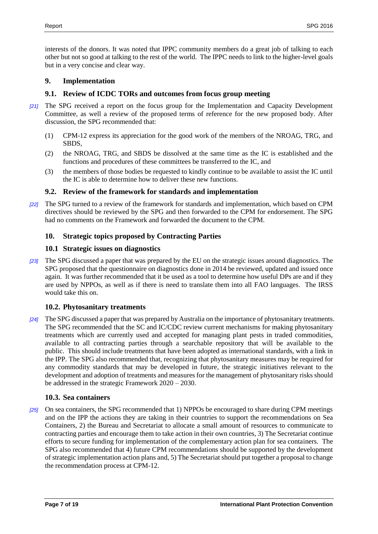interests of the donors. It was noted that IPPC community members do a great job of talking to each other but not so good at talking to the rest of the world. The IPPC needs to link to the higher-level goals but in a very concise and clear way.

### <span id="page-6-0"></span>**9. Implementation**

### <span id="page-6-1"></span>**9.1. Review of ICDC TORs and outcomes from focus group meeting**

- *[21]* The SPG received a report on the focus group for the Implementation and Capacity Development Committee, as well a review of the proposed terms of reference for the new proposed body. After discussion, the SPG recommended that:
	- (1) CPM-12 express its appreciation for the good work of the members of the NROAG, TRG, and SBDS,
	- (2) the NROAG, TRG, and SBDS be dissolved at the same time as the IC is established and the functions and procedures of these committees be transferred to the IC, and
	- (3) the members of those bodies be requested to kindly continue to be available to assist the IC until the IC is able to determine how to deliver these new functions.

### <span id="page-6-2"></span>**9.2. Review of the framework for standards and implementation**

*[22]* The SPG turned to a review of the framework for standards and implementation, which based on CPM directives should be reviewed by the SPG and then forwarded to the CPM for endorsement. The SPG had no comments on the Framework and forwarded the document to the CPM.

### <span id="page-6-3"></span>**10. Strategic topics proposed by Contracting Parties**

#### <span id="page-6-4"></span>**10.1 Strategic issues on diagnostics**

*[23]* The SPG discussed a paper that was prepared by the EU on the strategic issues around diagnostics. The SPG proposed that the questionnaire on diagnostics done in 2014 be reviewed, updated and issued once again. It was further recommended that it be used as a tool to determine how useful DPs are and if they are used by NPPOs, as well as if there is need to translate them into all FAO languages. The IRSS would take this on.

#### <span id="page-6-5"></span>**10.2. Phytosanitary treatments**

*[24]* The SPG discussed a paper that was prepared by Australia on the importance of phytosanitary treatments. The SPG recommended that the SC and IC/CDC review current mechanisms for making phytosanitary treatments which are currently used and accepted for managing plant pests in traded commodities, available to all contracting parties through a searchable repository that will be available to the public. This should include treatments that have been adopted as international standards, with a link in the IPP. The SPG also recommended that, recognizing that phytosanitary measures may be required for any commodity standards that may be developed in future, the strategic initiatives relevant to the development and adoption of treatments and measures for the management of phytosanitary risks should be addressed in the strategic Framework 2020 – 2030.

#### <span id="page-6-6"></span>**10.3. Sea containers**

*[25]* On sea containers, the SPG recommended that 1) NPPOs be encouraged to share during CPM meetings and on the IPP the actions they are taking in their countries to support the recommendations on Sea Containers, 2) the Bureau and Secretariat to allocate a small amount of resources to communicate to contracting parties and encourage them to take action in their own countries, 3) The Secretariat continue efforts to secure funding for implementation of the complementary action plan for sea containers. The SPG also recommended that 4) future CPM recommendations should be supported by the development of strategic implementation action plans and, 5) The Secretariat should put together a proposal to change the recommendation process at CPM-12.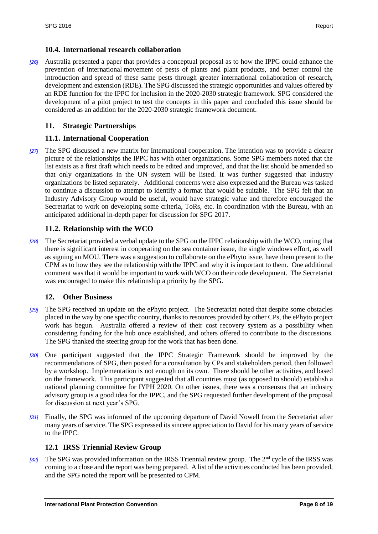#### <span id="page-7-0"></span>**10.4. International research collaboration**

*[26]* Australia presented a paper that provides a conceptual proposal as to how the IPPC could enhance the prevention of international movement of pests of plants and plant products, and better control the introduction and spread of these same pests through greater international collaboration of research, development and extension (RDE). The SPG discussed the strategic opportunities and values offered by an RDE function for the IPPC for inclusion in the 2020-2030 strategic framework. SPG considered the development of a pilot project to test the concepts in this paper and concluded this issue should be considered as an addition for the 2020-2030 strategic framework document.

### <span id="page-7-1"></span>**11. Strategic Partnerships**

### <span id="page-7-2"></span>**11.1. International Cooperation**

*[27]* The SPG discussed a new matrix for International cooperation. The intention was to provide a clearer picture of the relationships the IPPC has with other organizations. Some SPG members noted that the list exists as a first draft which needs to be edited and improved, and that the list should be amended so that only organizations in the UN system will be listed. It was further suggested that Industry organizations be listed separately. Additional concerns were also expressed and the Bureau was tasked to continue a discussion to attempt to identify a format that would be suitable. The SPG felt that an Industry Advisory Group would be useful, would have strategic value and therefore encouraged the Secretariat to work on developing some criteria, ToRs, etc. in coordination with the Bureau, with an anticipated additional in-depth paper for discussion for SPG 2017.

### <span id="page-7-3"></span>**11.2. Relationship with the WCO**

*[28]* The Secretariat provided a verbal update to the SPG on the IPPC relationship with the WCO, noting that there is significant interest in cooperating on the sea container issue, the single windows effort, as well as signing an MOU. There was a suggestion to collaborate on the ePhyto issue, have them present to the CPM as to how they see the relationship with the IPPC and why it is important to them. One additional comment was that it would be important to work with WCO on their code development. The Secretariat was encouraged to make this relationship a priority by the SPG.

#### <span id="page-7-4"></span>**12. Other Business**

- *[29]* The SPG received an update on the ePhyto project. The Secretariat noted that despite some obstacles placed in the way by one specific country, thanks to resources provided by other CPs, the ePhyto project work has begun. Australia offered a review of their cost recovery system as a possibility when considering funding for the hub once established, and others offered to contribute to the discussions. The SPG thanked the steering group for the work that has been done.
- *[30]* One participant suggested that the IPPC Strategic Framework should be improved by the recommendations of SPG, then posted for a consultation by CPs and stakeholders period, then followed by a workshop. Implementation is not enough on its own. There should be other activities, and based on the framework. This participant suggested that all countries must (as opposed to should) establish a national planning committee for IYPH 2020. On other issues, there was a consensus that an industry advisory group is a good idea for the IPPC, and the SPG requested further development of the proposal for discussion at next year's SPG.
- *[31]* Finally, the SPG was informed of the upcoming departure of David Nowell from the Secretariat after many years of service. The SPG expressed its sincere appreciation to David for his many years of service to the IPPC.

#### <span id="page-7-5"></span>**12.1 IRSS Triennial Review Group**

*[32]* The SPG was provided information on the IRSS Triennial review group. The 2<sup>nd</sup> cycle of the IRSS was coming to a close and the report was being prepared. A list of the activities conducted has been provided, and the SPG noted the report will be presented to CPM.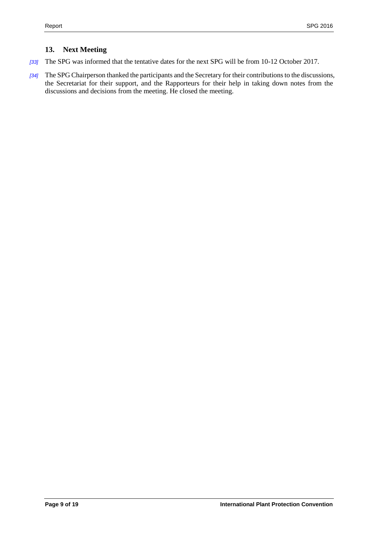# <span id="page-8-0"></span>**13. Next Meeting**

- *[33]* The SPG was informed that the tentative dates for the next SPG will be from 10-12 October 2017.
- *[34]* The SPG Chairperson thanked the participants and the Secretary for their contributions to the discussions, the Secretariat for their support, and the Rapporteurs for their help in taking down notes from the discussions and decisions from the meeting. He closed the meeting.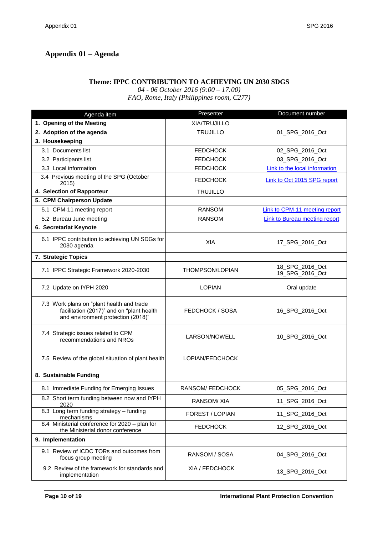# <span id="page-9-0"></span>**Appendix 01 – Agenda**

#### **Theme: IPPC CONTRIBUTION TO ACHIEVING UN 2030 SDGS**

*04 - 06 October 2016 (9:00 – 17:00)*

*FAO, Rome, Italy (Philippines room, C277)*

| Agenda item                                                                                                                  | Presenter              | Document number                      |
|------------------------------------------------------------------------------------------------------------------------------|------------------------|--------------------------------------|
| 1. Opening of the Meeting                                                                                                    | XIA/TRUJILLO           |                                      |
| 2. Adoption of the agenda                                                                                                    | <b>TRUJILLO</b>        | 01_SPG_2016_Oct                      |
| 3. Housekeeping                                                                                                              |                        |                                      |
| 3.1 Documents list                                                                                                           | <b>FEDCHOCK</b>        | 02 SPG 2016 Oct                      |
| 3.2 Participants list                                                                                                        | <b>FEDCHOCK</b>        | 03_SPG_2016_Oct                      |
| 3.3 Local information                                                                                                        | <b>FEDCHOCK</b>        | <b>Link to the local information</b> |
| 3.4 Previous meeting of the SPG (October<br>2015)                                                                            | <b>FEDCHOCK</b>        | <b>Link to Oct 2015 SPG report</b>   |
| 4. Selection of Rapporteur                                                                                                   | <b>TRUJILLO</b>        |                                      |
| 5. CPM Chairperson Update                                                                                                    |                        |                                      |
| 5.1 CPM-11 meeting report                                                                                                    | <b>RANSOM</b>          | <b>Link to CPM-11 meeting report</b> |
| 5.2 Bureau June meeting                                                                                                      | <b>RANSOM</b>          | Link to Bureau meeting report        |
| 6. Secretariat Keynote                                                                                                       |                        |                                      |
| 6.1 IPPC contribution to achieving UN SDGs for<br>2030 agenda                                                                | XIA                    | 17_SPG_2016_Oct                      |
| 7. Strategic Topics                                                                                                          |                        |                                      |
| 7.1 IPPC Strategic Framework 2020-2030                                                                                       | <b>THOMPSON/LOPIAN</b> | 18_SPG_2016_Oct<br>19_SPG_2016_Oct   |
| 7.2 Update on IYPH 2020                                                                                                      | <b>LOPIAN</b>          | Oral update                          |
| 7.3 Work plans on "plant health and trade<br>facilitation (2017)" and on "plant health<br>and environment protection (2018)" | FEDCHOCK / SOSA        | 16_SPG_2016_Oct                      |
| 7.4 Strategic issues related to CPM<br>recommendations and NROs                                                              | LARSON/NOWELL          | 10_SPG_2016_Oct                      |
| 7.5 Review of the global situation of plant health                                                                           | LOPIAN/FEDCHOCK        |                                      |
| 8. Sustainable Funding                                                                                                       |                        |                                      |
| 8.1 Immediate Funding for Emerging Issues                                                                                    | <b>RANSOM/FEDCHOCK</b> | 05_SPG_2016_Oct                      |
| 8.2 Short term funding between now and IYPH<br>2020                                                                          | <b>RANSOM/XIA</b>      | 11_SPG_2016_Oct                      |
| 8.3 Long term funding strategy - funding<br>mechanisms                                                                       | FOREST / LOPIAN        | 11_SPG_2016_Oct                      |
| 8.4 Ministerial conference for 2020 - plan for<br>the Ministerial donor conference                                           | <b>FEDCHOCK</b>        | 12_SPG_2016_Oct                      |
| 9. Implementation                                                                                                            |                        |                                      |
| 9.1 Review of ICDC TORs and outcomes from<br>focus group meeting                                                             | RANSOM / SOSA          | 04 SPG 2016 Oct                      |
| 9.2 Review of the framework for standards and<br>implementation                                                              | XIA / FEDCHOCK         | 13_SPG_2016_Oct                      |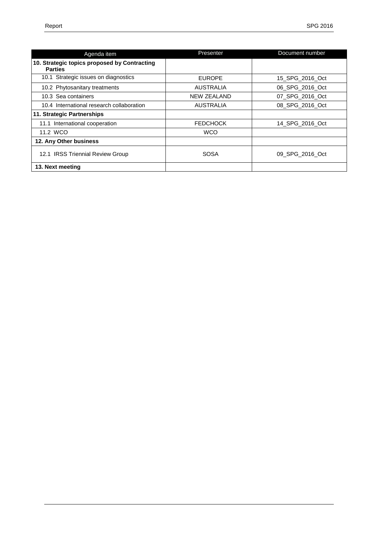| Agenda item                                                    | Presenter          | Document number |
|----------------------------------------------------------------|--------------------|-----------------|
| 10. Strategic topics proposed by Contracting<br><b>Parties</b> |                    |                 |
| 10.1 Strategic issues on diagnostics                           | <b>EUROPE</b>      | 15 SPG 2016 Oct |
| 10.2 Phytosanitary treatments                                  | <b>AUSTRALIA</b>   | 06 SPG 2016 Oct |
| 10.3 Sea containers                                            | <b>NEW ZEALAND</b> | 07 SPG 2016 Oct |
| 10.4 International research collaboration                      | <b>AUSTRALIA</b>   | 08 SPG 2016 Oct |
| 11. Strategic Partnerships                                     |                    |                 |
| 11.1 International cooperation                                 | <b>FEDCHOCK</b>    | 14 SPG 2016 Oct |
| 11.2 WCO                                                       | <b>WCO</b>         |                 |
| 12. Any Other business                                         |                    |                 |
| 12.1 IRSS Triennial Review Group                               | <b>SOSA</b>        | 09 SPG 2016 Oct |
| 13. Next meeting                                               |                    |                 |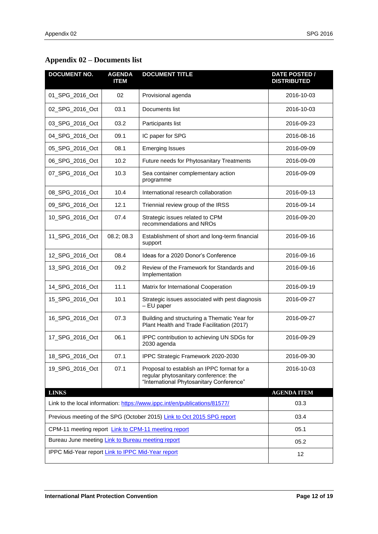# <span id="page-11-0"></span>**Appendix 02 – Documents list**

| <b>DOCUMENT NO.</b>                                                                | <b>AGENDA</b><br><b>ITEM</b> | <b>DOCUMENT TITLE</b>                                                                                                           | <b>DATE POSTED /</b><br><b>DISTRIBUTED</b> |
|------------------------------------------------------------------------------------|------------------------------|---------------------------------------------------------------------------------------------------------------------------------|--------------------------------------------|
| 01_SPG_2016_Oct                                                                    | 02                           | Provisional agenda                                                                                                              | 2016-10-03                                 |
| 02_SPG_2016_Oct                                                                    | 03.1                         | Documents list                                                                                                                  | 2016-10-03                                 |
| 03_SPG_2016_Oct                                                                    | 03.2                         | Participants list                                                                                                               | 2016-09-23                                 |
| 04_SPG_2016_Oct                                                                    | 09.1                         | IC paper for SPG                                                                                                                | 2016-08-16                                 |
| 05_SPG_2016_Oct                                                                    | 08.1                         | <b>Emerging Issues</b>                                                                                                          | 2016-09-09                                 |
| 06_SPG_2016_Oct                                                                    | 10.2                         | Future needs for Phytosanitary Treatments                                                                                       | 2016-09-09                                 |
| 07_SPG_2016_Oct                                                                    | 10.3                         | Sea container complementary action<br>programme                                                                                 | 2016-09-09                                 |
| 08_SPG_2016_Oct                                                                    | 10.4                         | International research collaboration                                                                                            | 2016-09-13                                 |
| 09_SPG_2016_Oct                                                                    | 12.1                         | Triennial review group of the IRSS                                                                                              | 2016-09-14                                 |
| 10_SPG_2016_Oct                                                                    | 07.4                         | Strategic issues related to CPM<br>recommendations and NROs                                                                     | 2016-09-20                                 |
| 11_SPG_2016_Oct                                                                    | 08.2; 08.3                   | Establishment of short and long-term financial<br>support                                                                       | 2016-09-16                                 |
| 12_SPG_2016_Oct                                                                    | 08.4                         | Ideas for a 2020 Donor's Conference                                                                                             | 2016-09-16                                 |
| 13_SPG_2016_Oct                                                                    | 09.2                         | Review of the Framework for Standards and<br>Implementation                                                                     | 2016-09-16                                 |
| 14_SPG_2016_Oct                                                                    | 11.1                         | Matrix for International Cooperation                                                                                            | 2016-09-19                                 |
| 15_SPG_2016_Oct                                                                    | 10.1                         | Strategic issues associated with pest diagnosis<br>- EU paper                                                                   | 2016-09-27                                 |
| 16_SPG_2016_Oct                                                                    | 07.3                         | Building and structuring a Thematic Year for<br>Plant Health and Trade Facilitation (2017)                                      | 2016-09-27                                 |
| 17_SPG_2016_Oct                                                                    | 06.1                         | IPPC contribution to achieving UN SDGs for<br>2030 agenda                                                                       | 2016-09-29                                 |
| 18_SPG_2016_Oct                                                                    | 07.1                         | IPPC Strategic Framework 2020-2030                                                                                              | 2016-09-30                                 |
| 19_SPG_2016_Oct                                                                    | 07.1                         | Proposal to establish an IPPC format for a<br>regular phytosanitary conference: the<br>"International Phytosanitary Conference" | 2016-10-03                                 |
| <b>LINKS</b>                                                                       | <b>AGENDA ITEM</b>           |                                                                                                                                 |                                            |
| Link to the local information: https://www.ippc.int/en/publications/81577/<br>03.3 |                              |                                                                                                                                 |                                            |
|                                                                                    |                              | Previous meeting of the SPG (October 2015) Link to Oct 2015 SPG report                                                          | 03.4                                       |
| CPM-11 meeting report Link to CPM-11 meeting report                                |                              |                                                                                                                                 | 05.1                                       |
| Bureau June meeting Link to Bureau meeting report                                  |                              |                                                                                                                                 | 05.2                                       |
| IPPC Mid-Year report Link to IPPC Mid-Year report                                  |                              |                                                                                                                                 | 12                                         |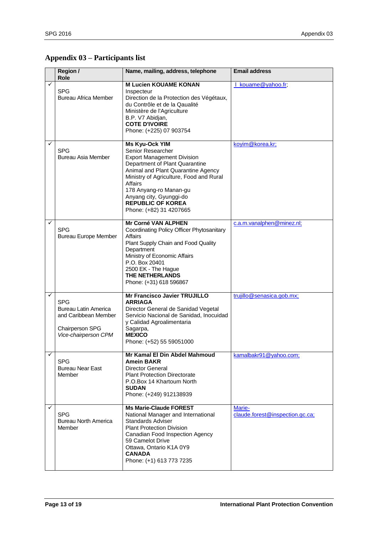# <span id="page-12-0"></span>**Appendix 03 – Participants list**

|   | Region /<br>Role                                                                                             | Name, mailing, address, telephone                                                                                                                                                                                                                                                                                         | <b>Email address</b>                      |
|---|--------------------------------------------------------------------------------------------------------------|---------------------------------------------------------------------------------------------------------------------------------------------------------------------------------------------------------------------------------------------------------------------------------------------------------------------------|-------------------------------------------|
|   | <b>SPG</b><br>Bureau Africa Member                                                                           | <b>M Lucien KOUAME KONAN</b><br>Inspecteur<br>Direction de la Protection des Végétaux,<br>du Contrôle et de la Qaualité<br>Ministère de l'Agriculture<br>B.P. V7 Abidjan,<br><b>COTE D'IVOIRE</b><br>Phone: (+225) 07 903754                                                                                              | I kouame@yahoo.fr;                        |
| ✓ | <b>SPG</b><br>Bureau Asia Member                                                                             | Ms Kyu-Ock YIM<br>Senior Researcher<br><b>Export Management Division</b><br>Department of Plant Quarantine<br>Animal and Plant Quarantine Agency<br>Ministry of Agriculture, Food and Rural<br><b>Affairs</b><br>178 Anyang-ro Manan-gu<br>Anyang city, Gyunggi-do<br><b>REPUBLIC OF KOREA</b><br>Phone: (+82) 31 4207665 | koyim@korea.kr;                           |
| ✓ | <b>SPG</b><br><b>Bureau Europe Member</b>                                                                    | Mr Corné VAN ALPHEN<br>Coordinating Policy Officer Phytosanitary<br>Affairs<br>Plant Supply Chain and Food Quality<br>Department<br>Ministry of Economic Affairs<br>P.O. Box 20401<br>2500 EK - The Hague<br><b>THE NETHERLANDS</b><br>Phone: (+31) 618 596867                                                            | c.a.m.vanalphen@minez.nl;                 |
| ✓ | <b>SPG</b><br><b>Bureau Latin America</b><br>and Caribbean Member<br>Chairperson SPG<br>Vice-chairperson CPM | Mr Francisco Javier TRUJILLO<br><b>ARRIAGA</b><br>Director General de Sanidad Vegetal<br>Servicio Nacional de Sanidad, Inocuidad<br>y Calidad Agroalimentaria<br>Sagarpa,<br><b>MEXICO</b><br>Phone: (+52) 55 59051000                                                                                                    | trujillo@senasica.gob.mx;                 |
| ✓ | <b>SPG</b><br><b>Bureau Near East</b><br>Member                                                              | Mr Kamal El Din Abdel Mahmoud<br><b>Amein BAKR</b><br><b>Director General</b><br><b>Plant Protection Directorate</b><br>P.O.Box 14 Khartoum North<br><b>SUDAN</b><br>Phone: (+249) 912138939                                                                                                                              | kamalbakr91@yahoo.com;                    |
| ✓ | <b>SPG</b><br><b>Bureau North America</b><br>Member                                                          | <b>Ms Marie-Claude FOREST</b><br>National Manager and International<br><b>Standards Adviser</b><br><b>Plant Protection Division</b><br>Canadian Food Inspection Agency<br>59 Camelot Drive<br>Ottawa, Ontario K1A 0Y9<br><b>CANADA</b><br>Phone: (+1) 613 773 7235                                                        | Marie-<br>claude.forest@inspection.gc.ca; |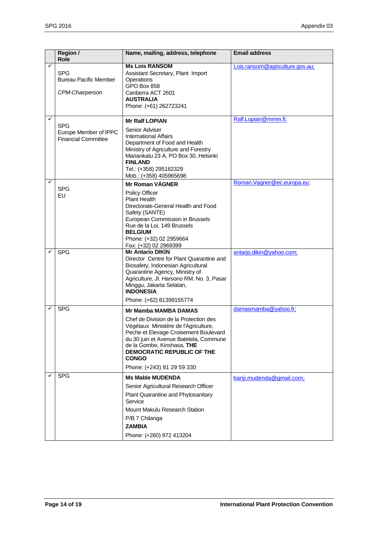|   | Region /<br>Role                                                  | Name, mailing, address, telephone                                                                                                                                                                                                                                                                                | <b>Email address</b>            |
|---|-------------------------------------------------------------------|------------------------------------------------------------------------------------------------------------------------------------------------------------------------------------------------------------------------------------------------------------------------------------------------------------------|---------------------------------|
|   | <b>SPG</b><br><b>Bureau Pacific Member</b><br>CPM-Chairperson     | <b>Ms Lois RANSOM</b><br>Assistant Secretary, Plant Import<br>Operations<br>GPO Box 858<br>Canberra ACT 2601<br><b>AUSTRALIA</b><br>Phone: (+61) 262723241                                                                                                                                                       | Lois.ransom@agriculture.gov.au; |
| ✓ | <b>SPG</b><br>Europe Member of IPPC<br><b>Financial Committee</b> | <b>Mr Ralf LOPIAN</b><br>Senior Adviser<br><b>International Affairs</b><br>Department of Food and Health<br>Ministry of Agriculture and Forestry<br>Mariankatu 23 A, PO Box 30, Helsinki<br><b>FINLAND</b><br>Tel.: (+358) 295162329<br>Mob.: (+358) 405965698                                                   | Ralf.Lopian@mmm.fi;             |
| ✓ | <b>SPG</b><br>EU                                                  | <b>Mr Roman VÁGNER</b><br><b>Policy Officer</b><br><b>Plant Health</b><br>Directorate-General Health and Food<br>Safety (SANTE)<br>European Commission in Brussels<br>Rue de la Loi, 149 Brussels<br><b>BELGIUM</b><br>Phone: (+32) 02 2959664<br>Fax: (+32) 02 2969399                                          | Roman. Vagner@ec.europa.eu;     |
| ✓ | <b>SPG</b>                                                        | <b>Mr Antario DIKIN</b><br>Director Centre for Plant Quarantine and<br>Biosafety, Indonesian Agricultural<br>Quarantine Agency, Ministry of<br>Agriculture, Jl. Harsono RM. No. 3, Pasar<br>Minggu, Jakarta Selatan,<br><b>INDONESIA</b><br>Phone: (+62) 81399155774                                             | antarjo.dikin@yahoo.com;        |
|   | <b>SPG</b>                                                        | <b>Mr Mamba MAMBA DAMAS</b><br>Chef de Division de la Protection des<br>Végétaux Ministère de l'Agriculture,<br>Peche et Elevage Croisement Boulevard<br>du 30 juin et Avenue Batetela, Commune<br>de la Gombe, Kinshasa, THE<br><b>DEMOCRATIC REPUBLIC OF THE</b><br><b>CONGO</b><br>Phone: (+243) 81 29 59 330 | damasmamba@yahoo.fr;            |
| ✓ | <b>SPG</b>                                                        | <b>Ms Mable MUDENDA</b><br>Senior Agricultural Research Officer<br>Plant Quarantine and Phytosanitary<br>Service<br>Mount Makulu Research Station<br>P/B 7 Chilanga<br><b>ZAMBIA</b><br>Phone: (+260) 972 413204                                                                                                 | banji.mudenda@gmail.com;        |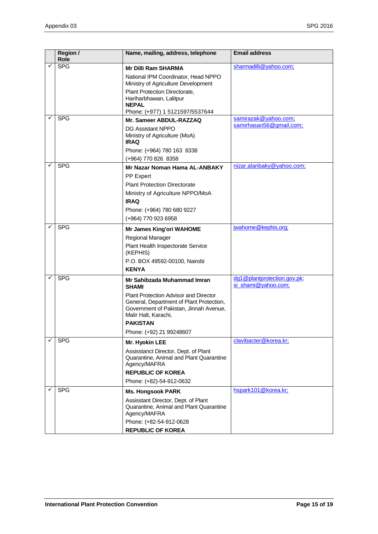|   | Region /<br>Role | Name, mailing, address, telephone                                                                                                                                                                                                                 | <b>Email address</b>                               |
|---|------------------|---------------------------------------------------------------------------------------------------------------------------------------------------------------------------------------------------------------------------------------------------|----------------------------------------------------|
|   | <b>SPG</b>       | <b>Mr Dilli Ram SHARMA</b><br>National IPM Coordinator, Head NPPO<br>Ministry of Agriculture Development<br>Plant Protection Directorate,<br>Hariharbhawan, Lalitpur<br><b>NEPAL</b><br>Phone: (+977) 1 5121597/5537644                           | sharmadilli@yahoo.com;                             |
|   | <b>SPG</b>       | Mr. Sameer ABDUL-RAZZAQ<br>DG Assistant NPPO<br>Ministry of Agriculture (MoA)<br><b>IRAQ</b><br>Phone: (+964) 780 163 8338<br>(+964) 770 826 8358                                                                                                 | samirazak@yahoo.com;<br>samirhasan56@gmail.com;    |
| ✓ | <b>SPG</b>       | Mr Nazar Noman Hama AL-ANBAKY<br>PP Expert<br><b>Plant Protection Directorate</b><br>Ministry of Agriculture NPPO/MoA<br><b>IRAQ</b><br>Phone: (+964) 780 680 9227<br>(+964) 770 923 6958                                                         | nizar.alanbaky@yahoo.com;                          |
|   | <b>SPG</b>       | <b>Mr James King'ori WAHOME</b><br>Regional Manager<br>Plant Health Inspectorate Service<br>(KEPHIS)<br>P.O. BOX 49592-00100, Nairobi<br><b>KENYA</b>                                                                                             | jwahome@kephis.org;                                |
|   | <b>SPG</b>       | Mr Sahibzada Muhammad Imran<br><b>SHAMI</b><br>Plant Protection Advisor and Director<br>General, Department of Plant Protection,<br>Government of Pakistan, Jinnah Avenue,<br>Malir Halt, Karachi,<br><b>PAKISTAN</b><br>Phone: (+92) 21 99248607 | dg1@plantprotection.gov.pk;<br>si_shami@yahoo.com; |
|   | <b>SPG</b>       | Mr. Hyokin LEE<br>Assisstanct Director, Dept. of Plant<br>Quarantine, Animal and Plant Quarantine<br>Agency/MAFRA<br><b>REPUBLIC OF KOREA</b><br>Phone: (+82)-54-912-0632                                                                         | clavibacter@korea.kr;                              |
|   | <b>SPG</b>       | <b>Ms. Hongsook PARK</b><br>Assisstant Director, Dept. of Plant<br>Quarantine, Animal and Plant Quarantine<br>Agency/MAFRA<br>Phone: (+82-54-912-0628<br><b>REPUBLIC OF KOREA</b>                                                                 | hspark101@korea.kr;                                |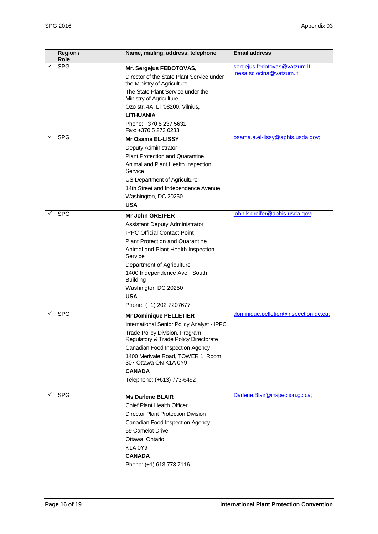|   | Region /<br>Role | Name, mailing, address, telephone                                        | <b>Email address</b>                  |
|---|------------------|--------------------------------------------------------------------------|---------------------------------------|
|   | <b>SPG</b>       | Mr. Sergejus FEDOTOVAS,                                                  | sergejus.fedotovas@vatzum.lt;         |
|   |                  | Director of the State Plant Service under<br>the Ministry of Agriculture | inesa.sciocina@vatzum.lt;             |
|   |                  | The State Plant Service under the<br>Ministry of Agriculture             |                                       |
|   |                  | Ozo str. 4A, LT'08200, Vilnius,                                          |                                       |
|   |                  | <b>LITHUANIA</b>                                                         |                                       |
|   |                  | Phone: +370 5 237 5631<br>Fax: +370 5 273 0233                           |                                       |
|   | <b>SPG</b>       | <b>Mr Osama EL-LISSY</b>                                                 | osama.a.el-lissy@aphis.usda.gov;      |
|   |                  | Deputy Administrator                                                     |                                       |
|   |                  | <b>Plant Protection and Quarantine</b>                                   |                                       |
|   |                  | Animal and Plant Health Inspection<br>Service                            |                                       |
|   |                  | US Department of Agriculture                                             |                                       |
|   |                  | 14th Street and Independence Avenue                                      |                                       |
|   |                  | Washington, DC 20250                                                     |                                       |
|   |                  | <b>USA</b>                                                               |                                       |
|   | <b>SPG</b>       | <b>Mr John GREIFER</b>                                                   | john.k.greifer@aphis.usda.gov;        |
|   |                  | <b>Assistant Deputy Administrator</b>                                    |                                       |
|   |                  | <b>IPPC Official Contact Point</b>                                       |                                       |
|   |                  | <b>Plant Protection and Quarantine</b>                                   |                                       |
|   |                  | Animal and Plant Health Inspection<br>Service                            |                                       |
|   |                  | Department of Agriculture                                                |                                       |
|   |                  | 1400 Independence Ave., South<br><b>Building</b>                         |                                       |
|   |                  | Washington DC 20250                                                      |                                       |
|   |                  | <b>USA</b>                                                               |                                       |
|   |                  | Phone: (+1) 202 7207677                                                  |                                       |
|   | <b>SPG</b>       | <b>Mr Dominique PELLETIER</b>                                            | dominique.pelletier@inspection.gc.ca; |
|   |                  | International Senior Policy Analyst - IPPC                               |                                       |
|   |                  | Trade Policy Division, Program,<br>Regulatory & Trade Policy Directorate |                                       |
|   |                  | Canadian Food Inspection Agency                                          |                                       |
|   |                  | 1400 Merivale Road, TOWER 1, Room<br>307 Ottawa ON K1A 0Y9               |                                       |
|   |                  | <b>CANADA</b>                                                            |                                       |
|   |                  | Telephone: (+613) 773-6492                                               |                                       |
| ✓ | <b>SPG</b>       | <b>Ms Darlene BLAIR</b>                                                  | Darlene.Blair@inspection.gc.ca;       |
|   |                  | Chief Plant Health Officer                                               |                                       |
|   |                  | <b>Director Plant Protection Division</b>                                |                                       |
|   |                  | Canadian Food Inspection Agency                                          |                                       |
|   |                  | 59 Camelot Drive                                                         |                                       |
|   |                  | Ottawa, Ontario                                                          |                                       |
|   |                  | K1A0Y9                                                                   |                                       |
|   |                  | <b>CANADA</b>                                                            |                                       |
|   |                  | Phone: (+1) 613 773 7116                                                 |                                       |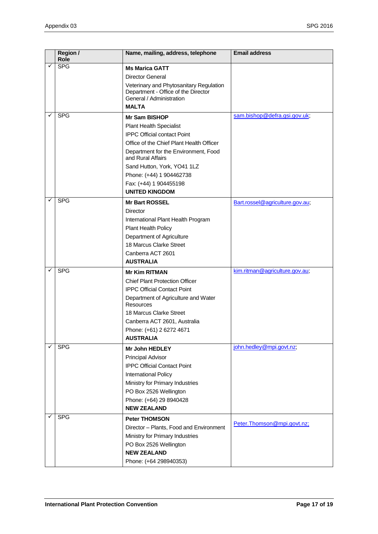|   | Region /<br>Role | Name, mailing, address, telephone                                                                          | <b>Email address</b>            |
|---|------------------|------------------------------------------------------------------------------------------------------------|---------------------------------|
|   | <b>SPG</b>       | <b>Ms Marica GATT</b>                                                                                      |                                 |
|   |                  | <b>Director General</b>                                                                                    |                                 |
|   |                  | Veterinary and Phytosanitary Regulation<br>Department - Office of the Director<br>General / Administration |                                 |
|   |                  | <b>MALTA</b>                                                                                               |                                 |
| ✓ | <b>SPG</b>       | <b>Mr Sam BISHOP</b>                                                                                       | sam.bishop@defra.gsi.gov.uk;    |
|   |                  | <b>Plant Health Specialist</b>                                                                             |                                 |
|   |                  | <b>IPPC Official contact Point</b>                                                                         |                                 |
|   |                  | Office of the Chief Plant Health Officer                                                                   |                                 |
|   |                  | Department for the Environment, Food<br>and Rural Affairs                                                  |                                 |
|   |                  | Sand Hutton, York, YO41 1LZ                                                                                |                                 |
|   |                  | Phone: (+44) 1 904462738                                                                                   |                                 |
|   |                  | Fax: (+44) 1 904455198                                                                                     |                                 |
|   |                  | <b>UNITED KINGDOM</b>                                                                                      |                                 |
| ✓ | <b>SPG</b>       | <b>Mr Bart ROSSEL</b>                                                                                      | Bart.rossel@agriculture.gov.au; |
|   |                  | Director                                                                                                   |                                 |
|   |                  | International Plant Health Program                                                                         |                                 |
|   |                  | Plant Health Policy                                                                                        |                                 |
|   |                  | Department of Agriculture                                                                                  |                                 |
|   |                  | 18 Marcus Clarke Street                                                                                    |                                 |
|   |                  | Canberra ACT 2601                                                                                          |                                 |
|   |                  | <b>AUSTRALIA</b>                                                                                           |                                 |
|   | <b>SPG</b>       | <b>Mr Kim RITMAN</b>                                                                                       | kim.ritman@agriculture.gov.au;  |
|   |                  | <b>Chief Plant Protection Officer</b>                                                                      |                                 |
|   |                  | <b>IPPC Official Contact Point</b>                                                                         |                                 |
|   |                  | Department of Agriculture and Water<br><b>Resources</b>                                                    |                                 |
|   |                  | 18 Marcus Clarke Street                                                                                    |                                 |
|   |                  | Canberra ACT 2601, Australia                                                                               |                                 |
|   |                  | Phone: (+61) 2 6272 4671                                                                                   |                                 |
|   |                  | <b>AUSTRALIA</b>                                                                                           |                                 |
| ✓ | <b>SPG</b>       | <b>Mr John HEDLEY</b>                                                                                      | john.hedley@mpi.govt.nz;        |
|   |                  | <b>Principal Advisor</b>                                                                                   |                                 |
|   |                  | <b>IPPC Official Contact Point</b>                                                                         |                                 |
|   |                  | International Policy                                                                                       |                                 |
|   |                  | Ministry for Primary Industries                                                                            |                                 |
|   |                  | PO Box 2526 Wellington                                                                                     |                                 |
|   |                  | Phone: (+64) 29 8940428                                                                                    |                                 |
|   |                  | <b>NEW ZEALAND</b>                                                                                         |                                 |
|   | <b>SPG</b>       | <b>Peter THOMSON</b>                                                                                       |                                 |
|   |                  | Director - Plants, Food and Environment                                                                    | Peter. Thomson@mpi.govt.nz;     |
|   |                  | Ministry for Primary Industries                                                                            |                                 |
|   |                  | PO Box 2526 Wellington                                                                                     |                                 |
|   |                  | <b>NEW ZEALAND</b>                                                                                         |                                 |
|   |                  | Phone: (+64 298940353)                                                                                     |                                 |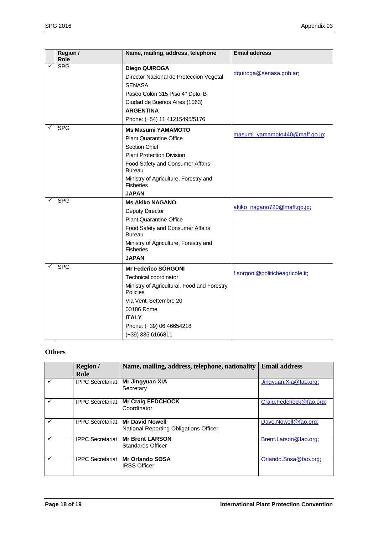|   | Region /<br>Role | Name, mailing, address, telephone                         | <b>Email address</b>            |
|---|------------------|-----------------------------------------------------------|---------------------------------|
|   | <b>SPG</b>       |                                                           |                                 |
|   |                  | Diego QUIROGA                                             | dquiroga@senasa.gob.ar;         |
|   |                  | Director Nacional de Proteccion Vegetal                   |                                 |
|   |                  | <b>SENASA</b>                                             |                                 |
|   |                  | Paseo Colón 315 Piso 4° Dpto. B                           |                                 |
|   |                  | Ciudad de Buenos Aires (1063)                             |                                 |
|   |                  | <b>ARGENTINA</b>                                          |                                 |
|   |                  | Phone: (+54) 11 41215495/5176                             |                                 |
| ✓ | <b>SPG</b>       | <b>Ms Masumi YAMAMOTO</b>                                 |                                 |
|   |                  | <b>Plant Quarantine Office</b>                            | masumi yamamoto440@maff.go.jp;  |
|   |                  | Section Chief                                             |                                 |
|   |                  | <b>Plant Protection Division</b>                          |                                 |
|   |                  | Food Safety and Consumer Affairs                          |                                 |
|   |                  | <b>Bureau</b>                                             |                                 |
|   |                  | Ministry of Agriculture, Forestry and<br><b>Fisheries</b> |                                 |
|   |                  | <b>JAPAN</b>                                              |                                 |
| ✓ | <b>SPG</b>       | <b>Ms Akiko NAGANO</b>                                    | akiko_nagano720@maff.go.jp;     |
|   |                  | Deputy Director                                           |                                 |
|   |                  | <b>Plant Quarantine Office</b>                            |                                 |
|   |                  | Food Safety and Consumer Affairs<br><b>Bureau</b>         |                                 |
|   |                  | Ministry of Agriculture, Forestry and<br><b>Fisheries</b> |                                 |
|   |                  | <b>JAPAN</b>                                              |                                 |
|   | <b>SPG</b>       | <b>Mr Federico SÓRGONI</b>                                |                                 |
|   |                  | <b>Technical coordinator</b>                              | f.sorgoni@politicheagricole.it; |
|   |                  | Ministry of Agricultural, Food and Forestry               |                                 |
|   |                  | Policies                                                  |                                 |
|   |                  | Via Venti Settembre 20                                    |                                 |
|   |                  | 00186 Rome                                                |                                 |
|   |                  | <b>ITALY</b>                                              |                                 |
|   |                  | Phone: (+39) 06 46654218                                  |                                 |
|   |                  | (+39) 335 6166811                                         |                                 |

### **Others**

|   | <b>Region</b> /<br>Role | Name, mailing, address, telephone, nationality                   | <b>Email address</b>       |
|---|-------------------------|------------------------------------------------------------------|----------------------------|
|   | <b>IPPC Secretariat</b> | Mr Jingyuan XIA<br>Secretary                                     | $J$ ingyuan. Xia @fao.org; |
| ✓ | <b>IPPC Secretariat</b> | <b>Mr Craig FEDCHOCK</b><br>Coordinator                          | Craig.Fedchock@fao.org;    |
|   | <b>IPPC Secretariat</b> | <b>Mr David Nowell</b><br>National Reporting Obligations Officer | Dave.Nowell@fao.org;       |
| ✓ | <b>IPPC Secretariat</b> | <b>Mr Brent LARSON</b><br>Standards Officer                      | Brent.Larson@fao.org;      |
| ✓ | <b>IPPC Secretariat</b> | <b>Mr Orlando SOSA</b><br><b>IRSS Officer</b>                    | Orlando.Sosa@fao.org;      |